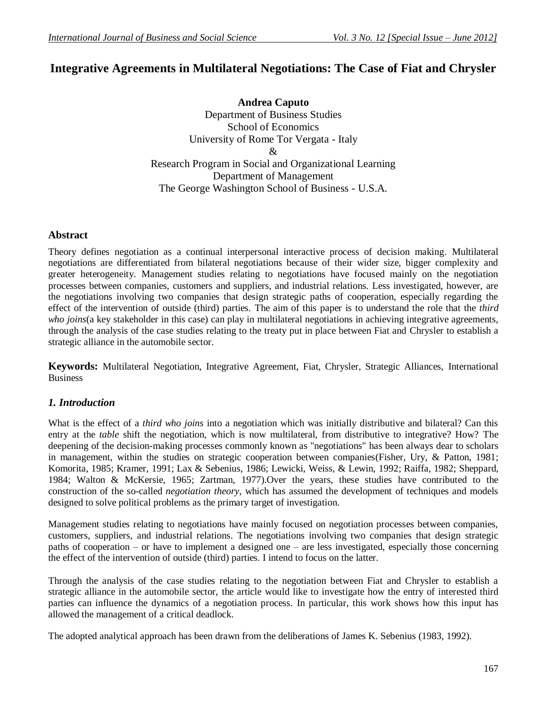# **Integrative Agreements in Multilateral Negotiations: The Case of Fiat and Chrysler**

**Andrea Caputo** Department of Business Studies School of Economics University of Rome Tor Vergata - Italy & Research Program in Social and Organizational Learning Department of Management The George Washington School of Business - U.S.A.

### **Abstract**

Theory defines negotiation as a continual interpersonal interactive process of decision making. Multilateral negotiations are differentiated from bilateral negotiations because of their wider size, bigger complexity and greater heterogeneity. Management studies relating to negotiations have focused mainly on the negotiation processes between companies, customers and suppliers, and industrial relations. Less investigated, however, are the negotiations involving two companies that design strategic paths of cooperation, especially regarding the effect of the intervention of outside (third) parties. The aim of this paper is to understand the role that the *third who joins*(a key stakeholder in this case) can play in multilateral negotiations in achieving integrative agreements, through the analysis of the case studies relating to the treaty put in place between Fiat and Chrysler to establish a strategic alliance in the automobile sector.

**Keywords:** Multilateral Negotiation, Integrative Agreement, Fiat, Chrysler, Strategic Alliances, International **Business** 

### *1. Introduction*

What is the effect of a *third who joins* into a negotiation which was initially distributive and bilateral? Can this entry at the *table* shift the negotiation, which is now multilateral, from distributive to integrative? How? The deepening of the decision-making processes commonly known as "negotiations" has been always dear to scholars in management, within the studies on strategic cooperation between companies[\(Fisher, Ury, & Patton, 1981;](#page-12-0) [Komorita, 1985;](#page-12-1) [Kramer, 1991;](#page-12-2) [Lax & Sebenius, 1986;](#page-12-3) [Lewicki, Weiss, & Lewin, 1992;](#page-12-4) [Raiffa, 1982;](#page-12-5) [Sheppard,](#page-13-0)  [1984;](#page-13-0) [Walton & McKersie, 1965;](#page-13-1) [Zartman, 1977\)](#page-13-2).Over the years, these studies have contributed to the construction of the so-called *negotiation theory*, which has assumed the development of techniques and models designed to solve political problems as the primary target of investigation.

Management studies relating to negotiations have mainly focused on negotiation processes between companies, customers, suppliers, and industrial relations. The negotiations involving two companies that design strategic paths of cooperation – or have to implement a designed one – are less investigated, especially those concerning the effect of the intervention of outside (third) parties. I intend to focus on the latter.

Through the analysis of the case studies relating to the negotiation between Fiat and Chrysler to establish a strategic alliance in the automobile sector, the article would like to investigate how the entry of interested third parties can influence the dynamics of a negotiation process. In particular, this work shows how this input has allowed the management of a critical deadlock.

The adopted analytical approach has been drawn from the deliberations of James K. Sebenius [\(1983,](#page-13-3) [1992\)](#page-13-4).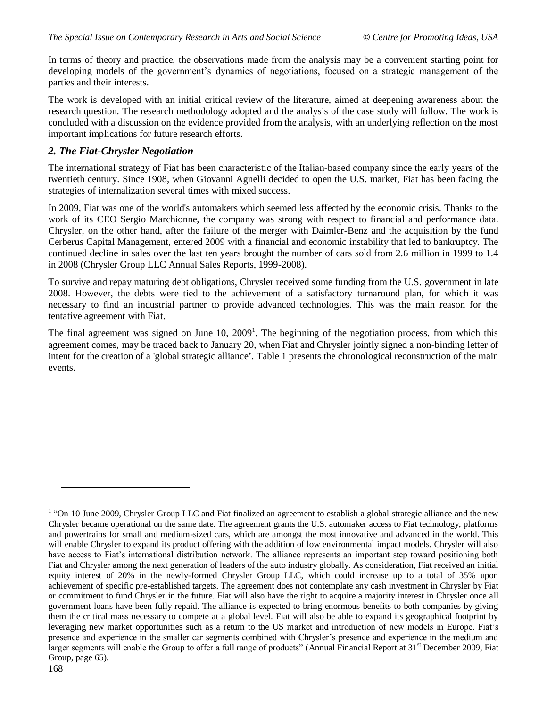In terms of theory and practice, the observations made from the analysis may be a convenient starting point for developing models of the government's dynamics of negotiations, focused on a strategic management of the parties and their interests.

The work is developed with an initial critical review of the literature, aimed at deepening awareness about the research question. The research methodology adopted and the analysis of the case study will follow. The work is concluded with a discussion on the evidence provided from the analysis, with an underlying reflection on the most important implications for future research efforts.

# *2. The Fiat-Chrysler Negotiation*

The international strategy of Fiat has been characteristic of the Italian-based company since the early years of the twentieth century. Since 1908, when Giovanni Agnelli decided to open the U.S. market, Fiat has been facing the strategies of internalization several times with mixed success.

In 2009, Fiat was one of the world's automakers which seemed less affected by the economic crisis. Thanks to the work of its CEO Sergio Marchionne, the company was strong with respect to financial and performance data. Chrysler, on the other hand, after the failure of the merger with Daimler-Benz and the acquisition by the fund Cerberus Capital Management, entered 2009 with a financial and economic instability that led to bankruptcy. The continued decline in sales over the last ten years brought the number of cars sold from 2.6 million in 1999 to 1.4 in 2008 (Chrysler Group LLC Annual Sales Reports, 1999-2008).

To survive and repay maturing debt obligations, Chrysler received some funding from the U.S. government in late 2008. However, the debts were tied to the achievement of a satisfactory turnaround plan, for which it was necessary to find an industrial partner to provide advanced technologies. This was the main reason for the tentative agreement with Fiat.

The final agreement was signed on June  $10$ ,  $2009<sup>1</sup>$ . The beginning of the negotiation process, from which this agreement comes, may be traced back to January 20, when Fiat and Chrysler jointly signed a non-binding letter of intent for the creation of a 'global strategic alliance'. Table 1 presents the chronological reconstruction of the main events.

 $\overline{a}$ 

 $1$  "On 10 June 2009, Chrysler Group LLC and Fiat finalized an agreement to establish a global strategic alliance and the new Chrysler became operational on the same date. The agreement grants the U.S. automaker access to Fiat technology, platforms and powertrains for small and medium-sized cars, which are amongst the most innovative and advanced in the world. This will enable Chrysler to expand its product offering with the addition of low environmental impact models. Chrysler will also have access to Fiat"s international distribution network. The alliance represents an important step toward positioning both Fiat and Chrysler among the next generation of leaders of the auto industry globally. As consideration, Fiat received an initial equity interest of 20% in the newly-formed Chrysler Group LLC, which could increase up to a total of 35% upon achievement of specific pre-established targets. The agreement does not contemplate any cash investment in Chrysler by Fiat or commitment to fund Chrysler in the future. Fiat will also have the right to acquire a majority interest in Chrysler once all government loans have been fully repaid. The alliance is expected to bring enormous benefits to both companies by giving them the critical mass necessary to compete at a global level. Fiat will also be able to expand its geographical footprint by leveraging new market opportunities such as a return to the US market and introduction of new models in Europe. Fiat's presence and experience in the smaller car segments combined with Chrysler"s presence and experience in the medium and larger segments will enable the Group to offer a full range of products" (Annual Financial Report at 31<sup>st</sup> December 2009, Fiat Group, page 65).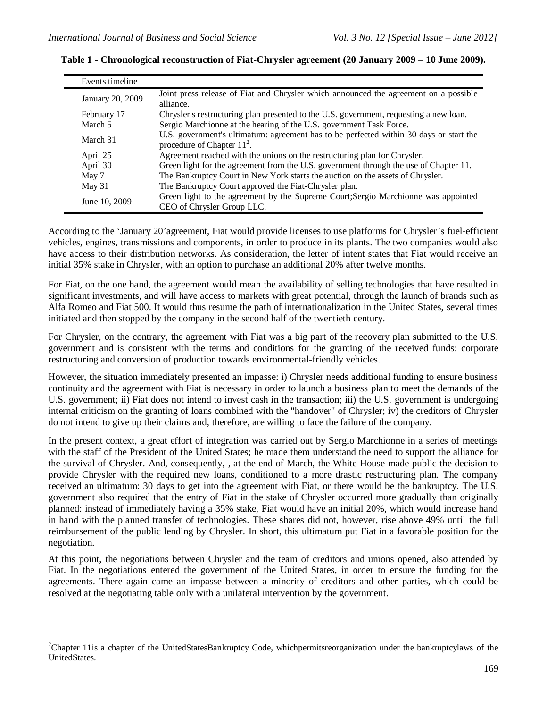$\overline{a}$ 

| Events timeline  |                                                                                                                        |
|------------------|------------------------------------------------------------------------------------------------------------------------|
| January 20, 2009 | Joint press release of Fiat and Chrysler which announced the agreement on a possible<br>alliance.                      |
| February 17      | Chrysler's restructuring plan presented to the U.S. government, requesting a new loan.                                 |
| March 5          | Sergio Marchionne at the hearing of the U.S. government Task Force.                                                    |
| March 31         | U.S. government's ultimatum: agreement has to be perfected within 30 days or start the<br>procedure of Chapter $112$ . |
| April 25         | Agreement reached with the unions on the restructuring plan for Chrysler.                                              |
| April 30         | Green light for the agreement from the U.S. government through the use of Chapter 11.                                  |
| May 7            | The Bankruptcy Court in New York starts the auction on the assets of Chrysler.                                         |
| May 31           | The Bankruptcy Court approved the Fiat-Chrysler plan.                                                                  |
| June 10, 2009    | Green light to the agreement by the Supreme Court; Sergio Marchionne was appointed<br>CEO of Chrysler Group LLC.       |

|  | Table 1 - Chronological reconstruction of Fiat-Chrysler agreement (20 January 2009 – 10 June 2009). |  |  |
|--|-----------------------------------------------------------------------------------------------------|--|--|
|  |                                                                                                     |  |  |

According to the 'January 20'agreement, Fiat would provide licenses to use platforms for Chrysler's fuel-efficient vehicles, engines, transmissions and components, in order to produce in its plants. The two companies would also have access to their distribution networks. As consideration, the letter of intent states that Fiat would receive an initial 35% stake in Chrysler, with an option to purchase an additional 20% after twelve months.

For Fiat, on the one hand, the agreement would mean the availability of selling technologies that have resulted in significant investments, and will have access to markets with great potential, through the launch of brands such as Alfa Romeo and Fiat 500. It would thus resume the path of internationalization in the United States, several times initiated and then stopped by the company in the second half of the twentieth century.

For Chrysler, on the contrary, the agreement with Fiat was a big part of the recovery plan submitted to the U.S. government and is consistent with the terms and conditions for the granting of the received funds: corporate restructuring and conversion of production towards environmental-friendly vehicles.

However, the situation immediately presented an impasse: i) Chrysler needs additional funding to ensure business continuity and the agreement with Fiat is necessary in order to launch a business plan to meet the demands of the U.S. government; ii) Fiat does not intend to invest cash in the transaction; iii) the U.S. government is undergoing internal criticism on the granting of loans combined with the "handover" of Chrysler; iv) the creditors of Chrysler do not intend to give up their claims and, therefore, are willing to face the failure of the company.

In the present context, a great effort of integration was carried out by Sergio Marchionne in a series of meetings with the staff of the President of the United States; he made them understand the need to support the alliance for the survival of Chrysler. And, consequently, , at the end of March, the White House made public the decision to provide Chrysler with the required new loans, conditioned to a more drastic restructuring plan. The company received an ultimatum: 30 days to get into the agreement with Fiat, or there would be the bankruptcy. The U.S. government also required that the entry of Fiat in the stake of Chrysler occurred more gradually than originally planned: instead of immediately having a 35% stake, Fiat would have an initial 20%, which would increase hand in hand with the planned transfer of technologies. These shares did not, however, rise above 49% until the full reimbursement of the public lending by Chrysler. In short, this ultimatum put Fiat in a favorable position for the negotiation.

At this point, the negotiations between Chrysler and the team of creditors and unions opened, also attended by Fiat. In the negotiations entered the government of the United States, in order to ensure the funding for the agreements. There again came an impasse between a minority of creditors and other parties, which could be resolved at the negotiating table only with a unilateral intervention by the government.

<sup>&</sup>lt;sup>2</sup>Chapter 11is a chapter of the UnitedStatesBankruptcy Code, whichpermitsreorganization under the bankruptcylaws of the UnitedStates.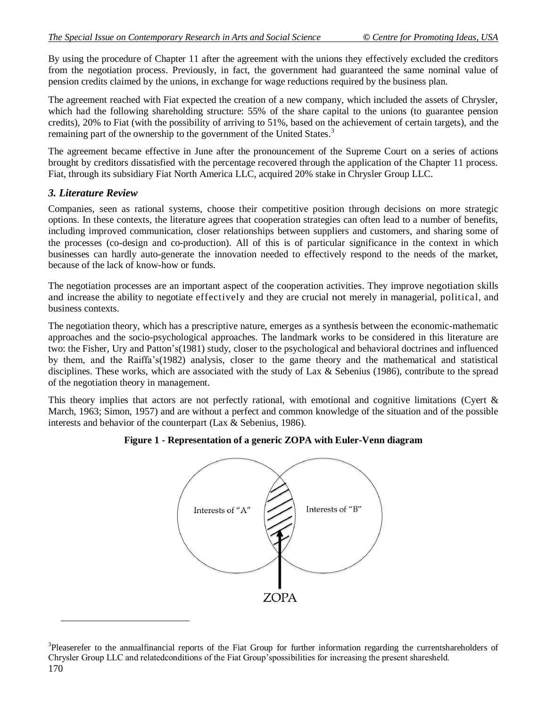By using the procedure of Chapter 11 after the agreement with the unions they effectively excluded the creditors from the negotiation process. Previously, in fact, the government had guaranteed the same nominal value of pension credits claimed by the unions, in exchange for wage reductions required by the business plan.

The agreement reached with Fiat expected the creation of a new company, which included the assets of Chrysler, which had the following shareholding structure: 55% of the share capital to the unions (to guarantee pension credits), 20% to Fiat (with the possibility of arriving to 51%, based on the achievement of certain targets), and the remaining part of the ownership to the government of the United States.<sup>3</sup>

The agreement became effective in June after the pronouncement of the Supreme Court on a series of actions brought by creditors dissatisfied with the percentage recovered through the application of the Chapter 11 process. Fiat, through its subsidiary Fiat North America LLC, acquired 20% stake in Chrysler Group LLC.

## *3. Literature Review*

 $\overline{a}$ 

Companies, seen as rational systems, choose their competitive position through decisions on more strategic options. In these contexts, the literature agrees that cooperation strategies can often lead to a number of benefits, including improved communication, closer relationships between suppliers and customers, and sharing some of the processes (co-design and co-production). All of this is of particular significance in the context in which businesses can hardly auto-generate the innovation needed to effectively respond to the needs of the market, because of the lack of know-how or funds.

The negotiation processes are an important aspect of the cooperation activities. They improve negotiation skills and increase the ability to negotiate effectively and they are crucial not merely in managerial, political, and business contexts.

The negotiation theory, which has a prescriptive nature, emerges as a synthesis between the economic-mathematic approaches and the socio-psychological approaches. The landmark works to be considered in this literature are two: the Fisher, Ury and Patton"s[\(1981\)](#page-12-0) study, closer to the psychological and behavioral doctrines and influenced by them, and the Raiffa"s[\(1982\)](#page-12-5) analysis, closer to the game theory and the mathematical and statistical disciplines. These works, which are associated with the study of Lax & Sebenius [\(1986\)](#page-12-3), contribute to the spread of the negotiation theory in management.

This theory implies that actors are not perfectly rational, with emotional and cognitive limitations (Cyert  $\&$ [March, 1963;](#page-12-6) [Simon, 1957\)](#page-13-5) and are without a perfect and common knowledge of the situation and of the possible interests and behavior of the counterpart (Lax  $\&$  Sebenius, 1986).

# **Figure 1 - Representation of a generic ZOPA with Euler-Venn diagram**



<sup>170</sup> <sup>3</sup>Pleaserefer to the annualfinancial reports of the Fiat Group for further information regarding the currentshareholders of Chrysler Group LLC and relatedconditions of the Fiat Group"spossibilities for increasing the present sharesheld.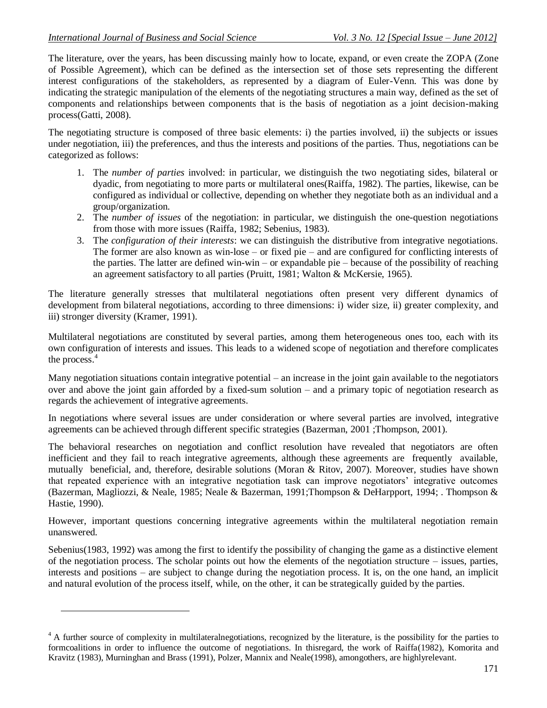$\overline{a}$ 

The literature, over the years, has been discussing mainly how to locate, expand, or even create the ZOPA (Zone of Possible Agreement), which can be defined as the intersection set of those sets representing the different interest configurations of the stakeholders, as represented by a diagram of Euler-Venn. This was done by indicating the strategic manipulation of the elements of the negotiating structures a main way, defined as the set of components and relationships between components that is the basis of negotiation as a joint decision-making process[\(Gatti, 2008\)](#page-12-7).

The negotiating structure is composed of three basic elements: i) the parties involved, ii) the subjects or issues under negotiation, iii) the preferences, and thus the interests and positions of the parties. Thus, negotiations can be categorized as follows:

- 1. The *number of parties* involved: in particular, we distinguish the two negotiating sides, bilateral or dyadic, from negotiating to more parts or multilateral ones[\(Raiffa, 1982\)](#page-12-5). The parties, likewise, can be configured as individual or collective, depending on whether they negotiate both as an individual and a group/organization.
- 2. The *number of issues* of the negotiation: in particular, we distinguish the one-question negotiations from those with more issues [\(Raiffa, 1982;](#page-12-5) [Sebenius, 1983\)](#page-13-3).
- 3. The *configuration of their interests*: we can distinguish the distributive from integrative negotiations. The former are also known as win-lose – or fixed pie – and are configured for conflicting interests of the parties. The latter are defined win-win – or expandable pie – because of the possibility of reaching an agreement satisfactory to all parties [\(Pruitt, 1981;](#page-12-8) [Walton & McKersie, 1965\)](#page-13-1).

The literature generally stresses that multilateral negotiations often present very different dynamics of development from bilateral negotiations, according to three dimensions: i) wider size, ii) greater complexity, and iii) stronger diversity [\(Kramer, 1991\)](#page-12-2).

Multilateral negotiations are constituted by several parties, among them heterogeneous ones too, each with its own configuration of interests and issues. This leads to a widened scope of negotiation and therefore complicates the process. 4

Many negotiation situations contain integrative potential – an increase in the joint gain available to the negotiators over and above the joint gain afforded by a fixed-sum solution – and a primary topic of negotiation research as regards the achievement of integrative agreements.

In negotiations where several issues are under consideration or where several parties are involved, integrative agreements can be achieved through different specific strategies [\(Bazerman, 2001 ;](#page-12-9)Thompson, 2001).

The behavioral researches on negotiation and conflict resolution have revealed that negotiators are often inefficient and they fail to reach integrative agreements, although these agreements are frequently available, mutually beneficial, and, therefore, desirable solutions [\(Moran & Ritov, 2007\)](#page-12-10). Moreover, studies have shown that repeated experience with an integrative negotiation task can improve negotiators" integrative outcomes [\(Bazerman, Magliozzi, & Neale, 1985;](#page-12-11) [Neale & Bazerman, 1991;](#page-12-12)Thompson & DeHarpport, 1994; [. Thompson &](#page-13-6)  [Hastie, 1990\)](#page-13-6).

However, important questions concerning integrative agreements within the multilateral negotiation remain unanswered.

Sebenius[\(1983,](#page-13-3) [1992\)](#page-13-4) was among the first to identify the possibility of changing the game as a distinctive element of the negotiation process. The scholar points out how the elements of the negotiation structure – issues, parties, interests and positions – are subject to change during the negotiation process. It is, on the one hand, an implicit and natural evolution of the process itself, while, on the other, it can be strategically guided by the parties.

<sup>&</sup>lt;sup>4</sup> A further source of complexity in multilateralnegotiations, recognized by the literature, is the possibility for the parties to formcoalitions in order to influence the outcome of negotiations. In thisregard, the work of Raiffa[\(1982\)](#page-12-5), Komorita and Kravitz [\(1983\)](#page-12-13), Murninghan and Brass [\(1991\)](#page-12-14), Polzer, Mannix and Neale[\(1998\)](#page-12-15), amongothers, are highlyrelevant.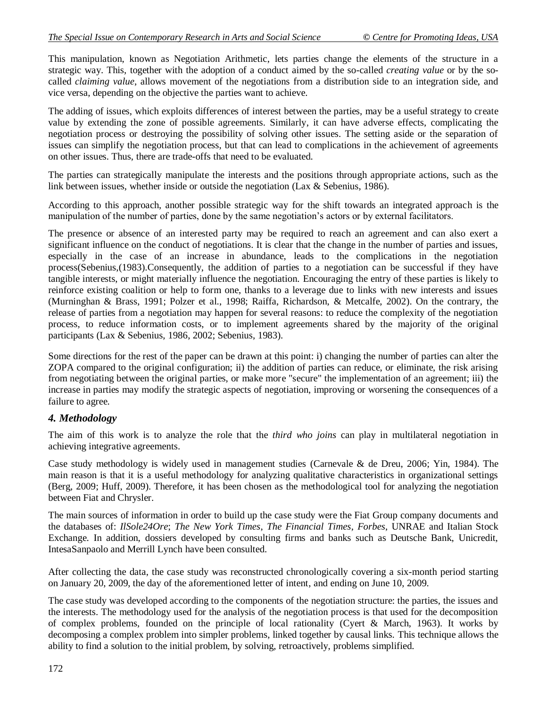This manipulation, known as Negotiation Arithmetic, lets parties change the elements of the structure in a strategic way. This, together with the adoption of a conduct aimed by the so-called *creating value* or by the socalled *claiming value*, allows movement of the negotiations from a distribution side to an integration side, and vice versa, depending on the objective the parties want to achieve.

The adding of issues, which exploits differences of interest between the parties, may be a useful strategy to create value by extending the zone of possible agreements. Similarly, it can have adverse effects, complicating the negotiation process or destroying the possibility of solving other issues. The setting aside or the separation of issues can simplify the negotiation process, but that can lead to complications in the achievement of agreements on other issues. Thus, there are trade-offs that need to be evaluated.

The parties can strategically manipulate the interests and the positions through appropriate actions, such as the link between issues, whether inside or outside the negotiation [\(Lax & Sebenius, 1986\)](#page-12-3).

According to this approach, another possible strategic way for the shift towards an integrated approach is the manipulation of the number of parties, done by the same negotiation"s actors or by external facilitators.

The presence or absence of an interested party may be required to reach an agreement and can also exert a significant influence on the conduct of negotiations. It is clear that the change in the number of parties and issues, especially in the case of an increase in abundance, leads to the complications in the negotiation process(Sebenius,[\(1983\)](#page-13-3).Consequently, the addition of parties to a negotiation can be successful if they have tangible interests, or might materially influence the negotiation. Encouraging the entry of these parties is likely to reinforce existing coalition or help to form one, thanks to a leverage due to links with new interests and issues [\(Murninghan & Brass, 1991;](#page-12-14) [Polzer et al., 1998;](#page-12-15) [Raiffa, Richardson, & Metcalfe, 2002\)](#page-12-16). On the contrary, the release of parties from a negotiation may happen for several reasons: to reduce the complexity of the negotiation process, to reduce information costs, or to implement agreements shared by the majority of the original participants [\(Lax & Sebenius, 1986,](#page-12-3) [2002;](#page-12-17) [Sebenius, 1983\)](#page-13-3).

Some directions for the rest of the paper can be drawn at this point: i) changing the number of parties can alter the ZOPA compared to the original configuration; ii) the addition of parties can reduce, or eliminate, the risk arising from negotiating between the original parties, or make more "secure" the implementation of an agreement; iii) the increase in parties may modify the strategic aspects of negotiation, improving or worsening the consequences of a failure to agree.

# *4. Methodology*

The aim of this work is to analyze the role that the *third who joins* can play in multilateral negotiation in achieving integrative agreements.

Case study methodology is widely used in management studies [\(Carnevale & de Dreu, 2006;](#page-12-18) [Yin, 1984\)](#page-13-7). The main reason is that it is a useful methodology for analyzing qualitative characteristics in organizational settings [\(Berg, 2009;](#page-12-19) [Huff, 2009\)](#page-12-20). Therefore, it has been chosen as the methodological tool for analyzing the negotiation between Fiat and Chrysler.

The main sources of information in order to build up the case study were the Fiat Group company documents and the databases of: *IlSole24Ore*; *The New York Times*, *The Financial Times*, *Forbes*, UNRAE and Italian Stock Exchange. In addition, dossiers developed by consulting firms and banks such as Deutsche Bank, Unicredit, IntesaSanpaolo and Merrill Lynch have been consulted.

After collecting the data, the case study was reconstructed chronologically covering a six-month period starting on January 20, 2009, the day of the aforementioned letter of intent, and ending on June 10, 2009.

The case study was developed according to the components of the negotiation structure: the parties, the issues and the interests. The methodology used for the analysis of the negotiation process is that used for the decomposition of complex problems, founded on the principle of local rationality [\(Cyert & March, 1963\)](#page-12-6). It works by decomposing a complex problem into simpler problems, linked together by causal links. This technique allows the ability to find a solution to the initial problem, by solving, retroactively, problems simplified.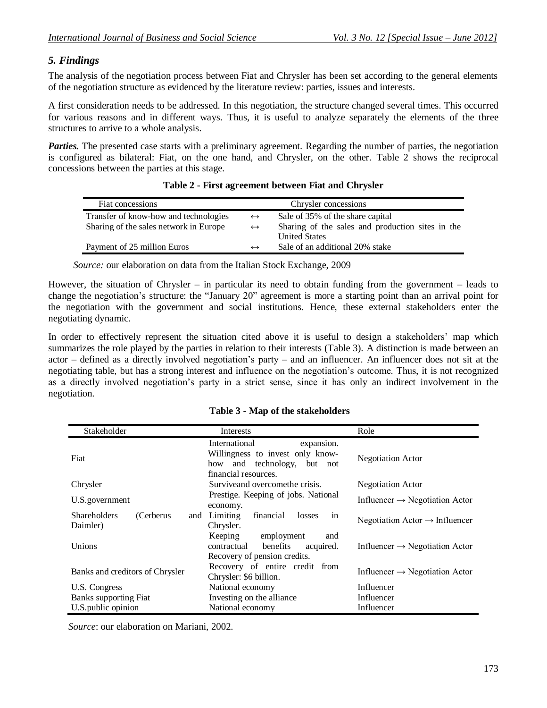## *5. Findings*

The analysis of the negotiation process between Fiat and Chrysler has been set according to the general elements of the negotiation structure as evidenced by the literature review: parties, issues and interests.

A first consideration needs to be addressed. In this negotiation, the structure changed several times. This occurred for various reasons and in different ways. Thus, it is useful to analyze separately the elements of the three structures to arrive to a whole analysis.

*Parties.* The presented case starts with a preliminary agreement. Regarding the number of parties, the negotiation is configured as bilateral: Fiat, on the one hand, and Chrysler, on the other. Table 2 shows the reciprocal concessions between the parties at this stage.

| Fiat concessions                       |                   | Chrysler concessions                             |
|----------------------------------------|-------------------|--------------------------------------------------|
| Transfer of know-how and technologies  | $\leftrightarrow$ | Sale of 35% of the share capital                 |
| Sharing of the sales network in Europe | $\leftrightarrow$ | Sharing of the sales and production sites in the |
|                                        |                   | <b>United States</b>                             |
| Payment of 25 million Euros            | $\leftrightarrow$ | Sale of an additional 20% stake                  |

| Table 2 - First agreement between Fiat and Chrysler |  |
|-----------------------------------------------------|--|
|-----------------------------------------------------|--|

 *Source:* our elaboration on data from the Italian Stock Exchange, 2009

However, the situation of Chrysler – in particular its need to obtain funding from the government – leads to change the negotiation"s structure: the "January 20" agreement is more a starting point than an arrival point for the negotiation with the government and social institutions. Hence, these external stakeholders enter the negotiating dynamic.

In order to effectively represent the situation cited above it is useful to design a stakeholders' map which summarizes the role played by the parties in relation to their interests (Table 3). A distinction is made between an actor – defined as a directly involved negotiation"s party – and an influencer. An influencer does not sit at the negotiating table, but has a strong interest and influence on the negotiation"s outcome. Thus, it is not recognized as a directly involved negotiation"s party in a strict sense, since it has only an indirect involvement in the negotiation.

| Stakeholder                                          | Interests                                                                                                              | Role                                       |
|------------------------------------------------------|------------------------------------------------------------------------------------------------------------------------|--------------------------------------------|
| Fiat                                                 | International<br>expansion.<br>Willingness to invest only know-<br>how and technology, but not<br>financial resources. | <b>Negotiation Actor</b>                   |
| Chrysler                                             | Surviveand overcomethe crisis.                                                                                         | <b>Negotiation Actor</b>                   |
| U.S.government                                       | Prestige. Keeping of jobs. National<br>economy.                                                                        | Influencer $\rightarrow$ Negotiation Actor |
| <b>Shareholders</b><br>(Cerberus)<br>and<br>Daimler) | Limiting<br>financial<br>losses<br>in<br>Chrysler.                                                                     | Negotiation Actor $\rightarrow$ Influencer |
| Unions                                               | Keeping<br>employment<br>and<br>benefits<br>contractual<br>acquired.<br>Recovery of pension credits.                   | Influencer $\rightarrow$ Negotiation Actor |
| Banks and creditors of Chrysler                      | Recovery of entire credit from<br>Chrysler: \$6 billion.                                                               | Influencer $\rightarrow$ Negotiation Actor |
| U.S. Congress                                        | National economy                                                                                                       | Influencer                                 |
| <b>Banks supporting Fiat</b>                         | Investing on the alliance                                                                                              | Influencer                                 |
| U.S.public opinion                                   | National economy                                                                                                       | Influencer                                 |

#### **Table 3 - Map of the stakeholders**

 *Source*: our elaboration on Mariani, 2002.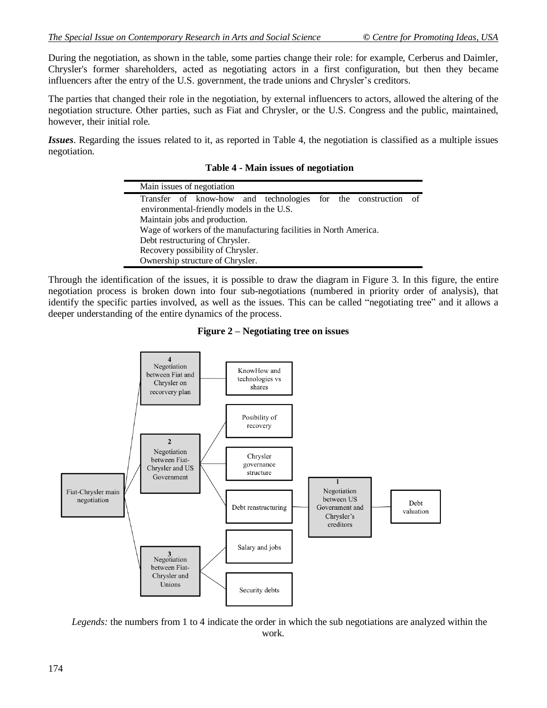During the negotiation, as shown in the table, some parties change their role: for example, Cerberus and Daimler, Chrysler's former shareholders, acted as negotiating actors in a first configuration, but then they became influencers after the entry of the U.S. government, the trade unions and Chrysler"s creditors.

The parties that changed their role in the negotiation, by external influencers to actors, allowed the altering of the negotiation structure. Other parties, such as Fiat and Chrysler, or the U.S. Congress and the public, maintained, however, their initial role.

*Issues*. Regarding the issues related to it, as reported in Table 4, the negotiation is classified as a multiple issues negotiation.

**Table 4 - Main issues of negotiation**

|                                                                   |  | Main issues of negotiation                |  |                                                               |  |  |  |  |
|-------------------------------------------------------------------|--|-------------------------------------------|--|---------------------------------------------------------------|--|--|--|--|
|                                                                   |  |                                           |  | Transfer of know-how and technologies for the construction of |  |  |  |  |
|                                                                   |  | environmental-friendly models in the U.S. |  |                                                               |  |  |  |  |
|                                                                   |  | Maintain jobs and production.             |  |                                                               |  |  |  |  |
| Wage of workers of the manufacturing facilities in North America. |  |                                           |  |                                                               |  |  |  |  |
|                                                                   |  | Debt restructuring of Chrysler.           |  |                                                               |  |  |  |  |
|                                                                   |  | Recovery possibility of Chrysler.         |  |                                                               |  |  |  |  |
|                                                                   |  | Ownership structure of Chrysler.          |  |                                                               |  |  |  |  |

Through the identification of the issues, it is possible to draw the diagram in Figure 3. In this figure, the entire negotiation process is broken down into four sub-negotiations (numbered in priority order of analysis), that identify the specific parties involved, as well as the issues. This can be called "negotiating tree" and it allows a deeper understanding of the entire dynamics of the process.





*Legends:* the numbers from 1 to 4 indicate the order in which the sub negotiations are analyzed within the work.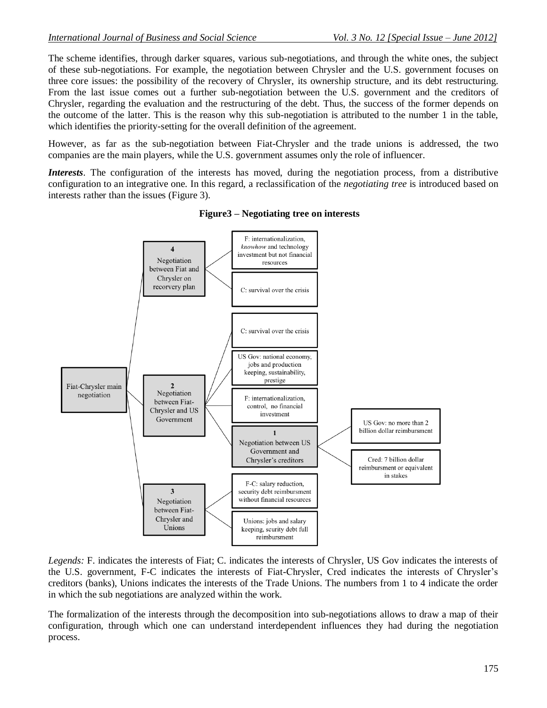The scheme identifies, through darker squares, various sub-negotiations, and through the white ones, the subject of these sub-negotiations. For example, the negotiation between Chrysler and the U.S. government focuses on three core issues: the possibility of the recovery of Chrysler, its ownership structure, and its debt restructuring. From the last issue comes out a further sub-negotiation between the U.S. government and the creditors of Chrysler, regarding the evaluation and the restructuring of the debt. Thus, the success of the former depends on the outcome of the latter. This is the reason why this sub-negotiation is attributed to the number 1 in the table, which identifies the priority-setting for the overall definition of the agreement.

However, as far as the sub-negotiation between Fiat-Chrysler and the trade unions is addressed, the two companies are the main players, while the U.S. government assumes only the role of influencer.

*Interests*. The configuration of the interests has moved, during the negotiation process, from a distributive configuration to an integrative one. In this regard, a reclassification of the *negotiating tree* is introduced based on interests rather than the issues (Figure 3).



**Figure3 – Negotiating tree on interests**

*Legends:* F. indicates the interests of Fiat; C. indicates the interests of Chrysler, US Gov indicates the interests of the U.S. government, F-C indicates the interests of Fiat-Chrysler, Cred indicates the interests of Chrysler"s creditors (banks), Unions indicates the interests of the Trade Unions. The numbers from 1 to 4 indicate the order in which the sub negotiations are analyzed within the work.

The formalization of the interests through the decomposition into sub-negotiations allows to draw a map of their configuration, through which one can understand interdependent influences they had during the negotiation process.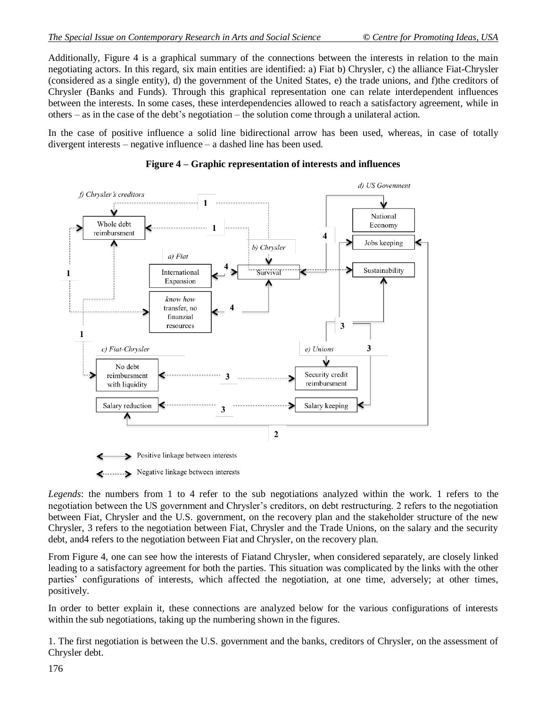Additionally, Figure 4 is a graphical summary of the connections between the interests in relation to the main negotiating actors. In this regard, six main entities are identified: a) Fiat b) Chrysler, c) the alliance Fiat-Chrysler (considered as a single entity), d) the government of the United States, e) the trade unions, and f)the creditors of Chrysler (Banks and Funds). Through this graphical representation one can relate interdependent influences between the interests. In some cases, these interdependencies allowed to reach a satisfactory agreement, while in others – as in the case of the debt"s negotiation – the solution come through a unilateral action.

In the case of positive influence a solid line bidirectional arrow has been used, whereas, in case of totally divergent interests – negative influence – a dashed line has been used.



### **Figure 4 – Graphic representation of interests and influences**

*Legends*: the numbers from 1 to 4 refer to the sub negotiations analyzed within the work. 1 refers to the negotiation between the US government and Chrysler"s creditors, on debt restructuring. 2 refers to the negotiation between Fiat, Chrysler and the U.S. government, on the recovery plan and the stakeholder structure of the new Chrysler, 3 refers to the negotiation between Fiat, Chrysler and the Trade Unions, on the salary and the security debt, and4 refers to the negotiation between Fiat and Chrysler, on the recovery plan.

From Figure 4, one can see how the interests of Fiatand Chrysler, when considered separately, are closely linked leading to a satisfactory agreement for both the parties. This situation was complicated by the links with the other parties' configurations of interests, which affected the negotiation, at one time, adversely; at other times, positively.

In order to better explain it, these connections are analyzed below for the various configurations of interests within the sub negotiations, taking up the numbering shown in the figures.

1. The first negotiation is between the U.S. government and the banks, creditors of Chrysler, on the assessment of Chrysler debt.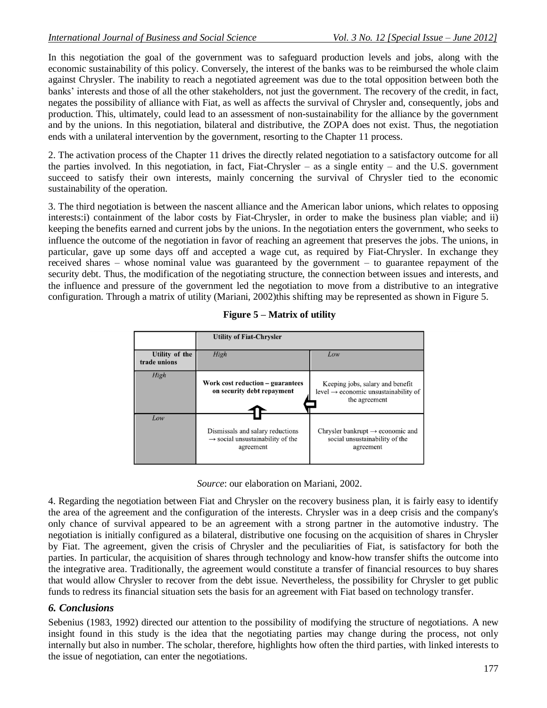In this negotiation the goal of the government was to safeguard production levels and jobs, along with the economic sustainability of this policy. Conversely, the interest of the banks was to be reimbursed the whole claim against Chrysler. The inability to reach a negotiated agreement was due to the total opposition between both the banks" interests and those of all the other stakeholders, not just the government. The recovery of the credit, in fact, negates the possibility of alliance with Fiat, as well as affects the survival of Chrysler and, consequently, jobs and production. This, ultimately, could lead to an assessment of non-sustainability for the alliance by the government and by the unions. In this negotiation, bilateral and distributive, the ZOPA does not exist. Thus, the negotiation ends with a unilateral intervention by the government, resorting to the Chapter 11 process.

2. The activation process of the Chapter 11 drives the directly related negotiation to a satisfactory outcome for all the parties involved. In this negotiation, in fact, Fiat-Chrysler – as a single entity – and the U.S. government succeed to satisfy their own interests, mainly concerning the survival of Chrysler tied to the economic sustainability of the operation.

3. The third negotiation is between the nascent alliance and the American labor unions, which relates to opposing interests:i) containment of the labor costs by Fiat-Chrysler, in order to make the business plan viable; and ii) keeping the benefits earned and current jobs by the unions. In the negotiation enters the government, who seeks to influence the outcome of the negotiation in favor of reaching an agreement that preserves the jobs. The unions, in particular, gave up some days off and accepted a wage cut, as required by Fiat-Chrysler. In exchange they received shares – whose nominal value was guaranteed by the government – to guarantee repayment of the security debt. Thus, the modification of the negotiating structure, the connection between issues and interests, and the influence and pressure of the government led the negotiation to move from a distributive to an integrative configuration. Through a matrix of utility [\(Mariani, 2002\)](#page-12-21)this shifting may be represented as shown in Figure 5.



|  |  | Figure 5 – Matrix of utility |  |  |
|--|--|------------------------------|--|--|
|--|--|------------------------------|--|--|

*Source*: our elaboration on Mariani, 2002.

4. Regarding the negotiation between Fiat and Chrysler on the recovery business plan, it is fairly easy to identify the area of the agreement and the configuration of the interests. Chrysler was in a deep crisis and the company's only chance of survival appeared to be an agreement with a strong partner in the automotive industry. The negotiation is initially configured as a bilateral, distributive one focusing on the acquisition of shares in Chrysler by Fiat. The agreement, given the crisis of Chrysler and the peculiarities of Fiat, is satisfactory for both the parties. In particular, the acquisition of shares through technology and know-how transfer shifts the outcome into the integrative area. Traditionally, the agreement would constitute a transfer of financial resources to buy shares that would allow Chrysler to recover from the debt issue. Nevertheless, the possibility for Chrysler to get public funds to redress its financial situation sets the basis for an agreement with Fiat based on technology transfer.

# *6. Conclusions*

Sebenius (1983, 1992) directed our attention to the possibility of modifying the structure of negotiations. A new insight found in this study is the idea that the negotiating parties may change during the process, not only internally but also in number. The scholar, therefore, highlights how often the third parties, with linked interests to the issue of negotiation, can enter the negotiations.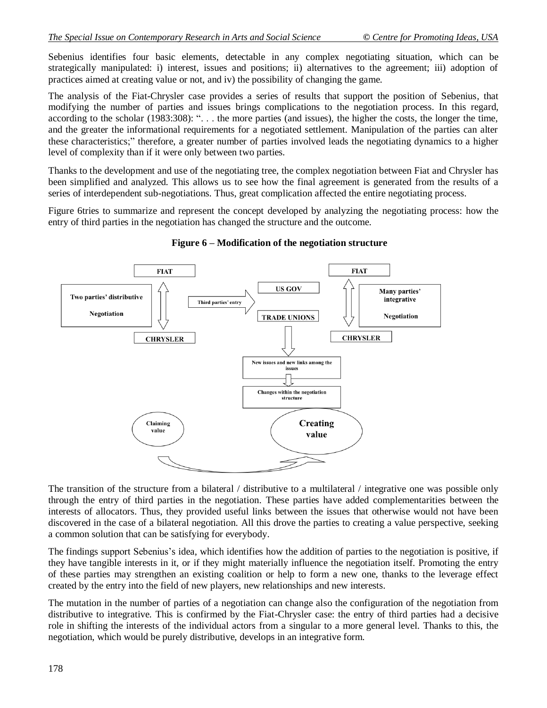Sebenius identifies four basic elements, detectable in any complex negotiating situation, which can be strategically manipulated: i) interest, issues and positions; ii) alternatives to the agreement; iii) adoption of practices aimed at creating value or not, and iv) the possibility of changing the game.

The analysis of the Fiat-Chrysler case provides a series of results that support the position of Sebenius, that modifying the number of parties and issues brings complications to the negotiation process. In this regard, according to the scholar (1983:308): ". . . the more parties (and issues), the higher the costs, the longer the time, and the greater the informational requirements for a negotiated settlement. Manipulation of the parties can alter these characteristics;" therefore, a greater number of parties involved leads the negotiating dynamics to a higher level of complexity than if it were only between two parties.

Thanks to the development and use of the negotiating tree, the complex negotiation between Fiat and Chrysler has been simplified and analyzed. This allows us to see how the final agreement is generated from the results of a series of interdependent sub-negotiations. Thus, great complication affected the entire negotiating process.

Figure 6tries to summarize and represent the concept developed by analyzing the negotiating process: how the entry of third parties in the negotiation has changed the structure and the outcome.



**Figure 6 – Modification of the negotiation structure**

The transition of the structure from a bilateral / distributive to a multilateral / integrative one was possible only through the entry of third parties in the negotiation. These parties have added complementarities between the interests of allocators. Thus, they provided useful links between the issues that otherwise would not have been discovered in the case of a bilateral negotiation. All this drove the parties to creating a value perspective, seeking a common solution that can be satisfying for everybody.

The findings support Sebenius's idea, which identifies how the addition of parties to the negotiation is positive, if they have tangible interests in it, or if they might materially influence the negotiation itself. Promoting the entry of these parties may strengthen an existing coalition or help to form a new one, thanks to the leverage effect created by the entry into the field of new players, new relationships and new interests.

The mutation in the number of parties of a negotiation can change also the configuration of the negotiation from distributive to integrative. This is confirmed by the Fiat-Chrysler case: the entry of third parties had a decisive role in shifting the interests of the individual actors from a singular to a more general level. Thanks to this, the negotiation, which would be purely distributive, develops in an integrative form.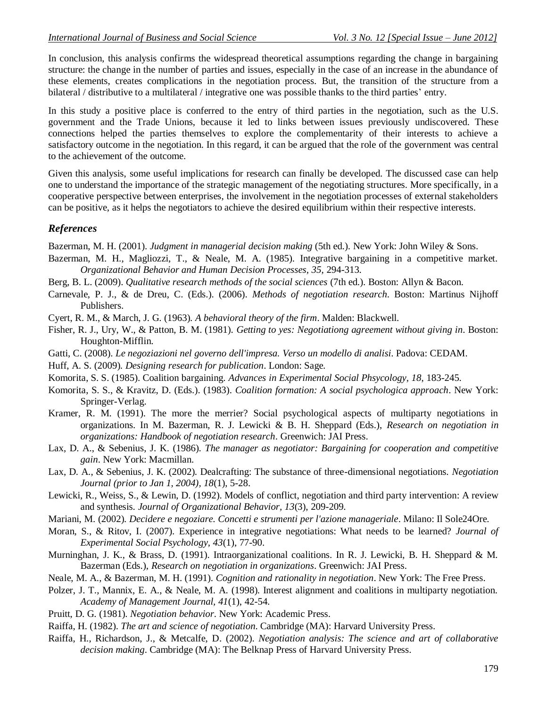In conclusion, this analysis confirms the widespread theoretical assumptions regarding the change in bargaining structure: the change in the number of parties and issues, especially in the case of an increase in the abundance of these elements, creates complications in the negotiation process. But, the transition of the structure from a bilateral / distributive to a multilateral / integrative one was possible thanks to the third parties" entry.

In this study a positive place is conferred to the entry of third parties in the negotiation, such as the U.S. government and the Trade Unions, because it led to links between issues previously undiscovered. These connections helped the parties themselves to explore the complementarity of their interests to achieve a satisfactory outcome in the negotiation. In this regard, it can be argued that the role of the government was central to the achievement of the outcome.

Given this analysis, some useful implications for research can finally be developed. The discussed case can help one to understand the importance of the strategic management of the negotiating structures. More specifically, in a cooperative perspective between enterprises, the involvement in the negotiation processes of external stakeholders can be positive, as it helps the negotiators to achieve the desired equilibrium within their respective interests.

#### *References*

<span id="page-12-9"></span>Bazerman, M. H. (2001). *Judgment in managerial decision making* (5th ed.). New York: John Wiley & Sons.

- <span id="page-12-11"></span>Bazerman, M. H., Magliozzi, T., & Neale, M. A. (1985). Integrative bargaining in a competitive market. *Organizational Behavior and Human Decision Processes, 35*, 294-313.
- <span id="page-12-19"></span>Berg, B. L. (2009). *Qualitative research methods of the social sciences* (7th ed.). Boston: Allyn & Bacon.
- <span id="page-12-18"></span>Carnevale, P. J., & de Dreu, C. (Eds.). (2006). *Methods of negotiation research*. Boston: Martinus Nijhoff Publishers.
- <span id="page-12-6"></span>Cyert, R. M., & March, J. G. (1963). *A behavioral theory of the firm*. Malden: Blackwell.

<span id="page-12-0"></span>Fisher, R. J., Ury, W., & Patton, B. M. (1981). *Getting to yes: Negotiationg agreement without giving in*. Boston: Houghton-Mifflin.

<span id="page-12-7"></span>Gatti, C. (2008). *Le negoziazioni nel governo dell'impresa. Verso un modello di analisi*. Padova: CEDAM.

<span id="page-12-20"></span>Huff, A. S. (2009). *Designing research for publication*. London: Sage.

- <span id="page-12-1"></span>Komorita, S. S. (1985). Coalition bargaining. *Advances in Experimental Social Phsycology, 18*, 183-245.
- <span id="page-12-13"></span>Komorita, S. S., & Kravitz, D. (Eds.). (1983). *Coalition formation: A social psychologica approach*. New York: Springer-Verlag.
- <span id="page-12-2"></span>Kramer, R. M. (1991). The more the merrier? Social psychological aspects of multiparty negotiations in organizations. In M. Bazerman, R. J. Lewicki & B. H. Sheppard (Eds.), *Research on negotiation in organizations: Handbook of negotiation research*. Greenwich: JAI Press.
- <span id="page-12-3"></span>Lax, D. A., & Sebenius, J. K. (1986). *The manager as negotiator: Bargaining for cooperation and competitive gain*. New York: Macmillan.
- <span id="page-12-17"></span>Lax, D. A., & Sebenius, J. K. (2002). Dealcrafting: The substance of three-dimensional negotiations. *Negotiation Journal (prior to Jan 1, 2004), 18*(1), 5-28.
- <span id="page-12-4"></span>Lewicki, R., Weiss, S., & Lewin, D. (1992). Models of conflict, negotiation and third party intervention: A review and synthesis. *Journal of Organizational Behavior, 13*(3), 209-209.
- <span id="page-12-21"></span>Mariani, M. (2002). *Decidere e negoziare. Concetti e strumenti per l'azione manageriale*. Milano: Il Sole24Ore.
- <span id="page-12-10"></span>Moran, S., & Ritov, I. (2007). Experience in integrative negotiations: What needs to be learned? *Journal of Experimental Social Psychology, 43*(1), 77-90.
- <span id="page-12-14"></span>Murninghan, J. K., & Brass, D. (1991). Intraorganizational coalitions. In R. J. Lewicki, B. H. Sheppard & M. Bazerman (Eds.), *Research on negotiation in organizations*. Greenwich: JAI Press.
- <span id="page-12-12"></span>Neale, M. A., & Bazerman, M. H. (1991). *Cognition and rationality in negotiation*. New York: The Free Press.
- <span id="page-12-15"></span>Polzer, J. T., Mannix, E. A., & Neale, M. A. (1998). Interest alignment and coalitions in multiparty negotiation. *Academy of Management Journal, 41*(1), 42-54.
- <span id="page-12-8"></span>Pruitt, D. G. (1981). *Negotiation behavior*. New York: Academic Press.
- <span id="page-12-5"></span>Raiffa, H. (1982). *The art and science of negotiation*. Cambridge (MA): Harvard University Press.
- <span id="page-12-16"></span>Raiffa, H., Richardson, J., & Metcalfe, D. (2002). *Negotiation analysis: The science and art of collaborative decision making*. Cambridge (MA): The Belknap Press of Harvard University Press.